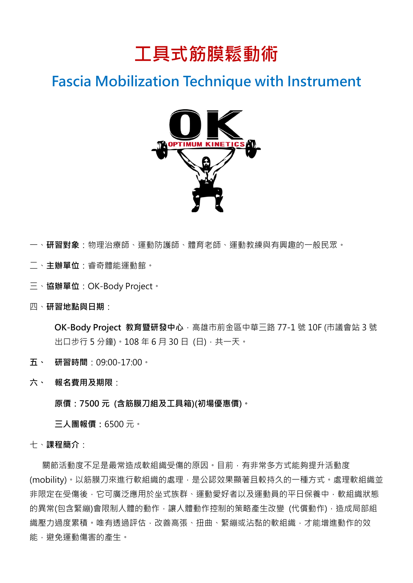

## **Fascia Mobilization Technique with Instrument**



一、**研習對象**:物理治療師、運動防護師、體育老師、運動教練與有興趣的一般民眾。

- 二、**主辦單位**:睿奇體能運動館。
- 三、**協辦單位**:OK-Body Project。
- 四、**研習地點與日期**:

**OK-Body Project 教育暨研發中心**,高雄市前金區中華三路 77-1 號 10F (市議會站 3 號 出口步行 5 分鐘)。108 年 6 月 30 日 (日), 共一天。

- **五、 研習時間**:09:00-17:00。
- **六、 報名費用及期限**:

**原價:7500 元 (含筋膜刀組及工具箱)(初場優惠價)。**

**三人團報價:**6500 元。

七、**課程簡介**:

關節活動度不足是最常造成軟組織受傷的原因。目前,有非常多方式能夠提升活動度 (mobility)。以筋膜刀來進行軟組織的處理,是公認效果顯著且較持久的一種方式。處理軟組織並 非限定在受傷後,它可廣泛應用於坐式族群、運動愛好者以及運動員的平日保養中,軟組織狀態 的異常(包含緊繃)會限制人體的動作,讓人體動作控制的策略產生改變 (代償動作),造成局部組 織壓力過度累積。唯有透過評估,改善高張、扭曲、緊繃或沾黏的軟組織,才能增進動作的效 能,避免運動傷害的產生。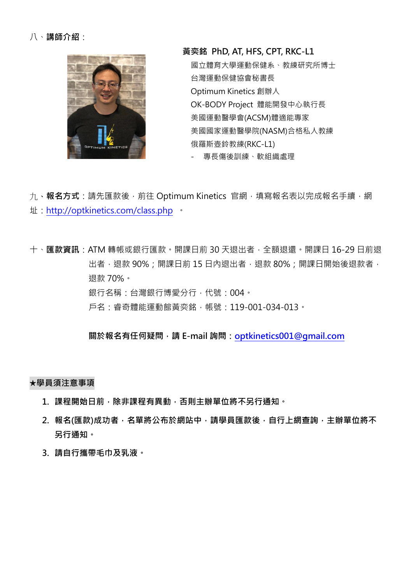

**黃奕銘 PhD, AT, HFS, CPT, RKC-L1** 國立體育大學運動保健系、教練研究所博士 台灣運動保健協會秘書長 Optimum Kinetics 創辦人 OK-BODY Project 體能開發中心執行長 美國運動醫學會(ACSM)體適能專家 美國國家運動醫學院(NASM)合格私人教練 俄羅斯壺鈴教練(RKC-L1) - 專長傷後訓練、軟組織處理

九、**報名方式**:請先匯款後,前往 Optimum Kinetics 官網,填寫報名表以完成報名手續,網 址:<http://optkinetics.com/class.php> 。

十、**匯款資訊**:ATM 轉帳或銀行匯款。開課日前 30 天退出者,全額退還。開課日 16-29 日前退 出者,退款 90%;開課日前 15 日内退出者,退款 80%;開課日開始後退款者, 退款 70%。 銀行名稱:台灣銀行博愛分行,代號:004。 戶名:睿奇體能運動館黃奕銘,帳號:119-001-034-013。

**關於報名有任何疑問,請 E-mail 詢問:[optkinetics001@gmail.com](mailto:optkinetics001@gmail.com)**

**★學員須注意事項**

- 1. 課程開始日前,除非課程有異動,否則主辦單位將不另行通知。
- **2. 報名(匯款)成功者,名單將公布於網站中,請學員匯款後,自行上網查詢,主辦單位將不 另行通知。**
- **3. 請自行攜帶毛巾及乳液。**